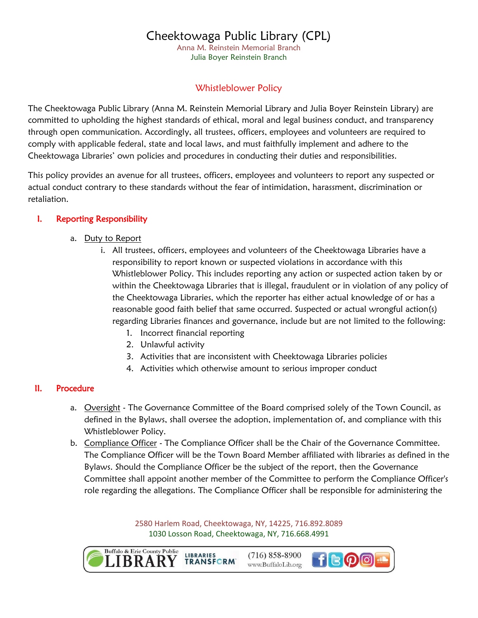Anna M. Reinstein Memorial Branch Julia Boyer Reinstein Branch

### Whistleblower Policy

The Cheektowaga Public Library (Anna M. Reinstein Memorial Library and Julia Boyer Reinstein Library) are committed to upholding the highest standards of ethical, moral and legal business conduct, and transparency through open communication. Accordingly, all trustees, officers, employees and volunteers are required to comply with applicable federal, state and local laws, and must faithfully implement and adhere to the Cheektowaga Libraries' own policies and procedures in conducting their duties and responsibilities.

This policy provides an avenue for all trustees, officers, employees and volunteers to report any suspected or actual conduct contrary to these standards without the fear of intimidation, harassment, discrimination or retaliation.

### I. Reporting Responsibility

- a. Duty to Report
	- i. All trustees, officers, employees and volunteers of the Cheektowaga Libraries have a responsibility to report known or suspected violations in accordance with this Whistleblower Policy. This includes reporting any action or suspected action taken by or within the Cheektowaga Libraries that is illegal, fraudulent or in violation of any policy of the Cheektowaga Libraries, which the reporter has either actual knowledge of or has a reasonable good faith belief that same occurred. Suspected or actual wrongful action(s) regarding Libraries finances and governance, include but are not limited to the following:
		- 1. Incorrect financial reporting
		- 2. Unlawful activity
		- 3. Activities that are inconsistent with Cheektowaga Libraries policies
		- 4. Activities which otherwise amount to serious improper conduct

#### II. Procedure

- a. Oversight The Governance Committee of the Board comprised solely of the Town Council, as defined in the Bylaws, shall oversee the adoption, implementation of, and compliance with this Whistleblower Policy.
- b. Compliance Officer The Compliance Officer shall be the Chair of the Governance Committee. The Compliance Officer will be the Town Board Member affiliated with libraries as defined in the Bylaws. Should the Compliance Officer be the subject of the report, then the Governance Committee shall appoint another member of the Committee to perform the Compliance Officer's role regarding the allegations. The Compliance Officer shall be responsible for administering the

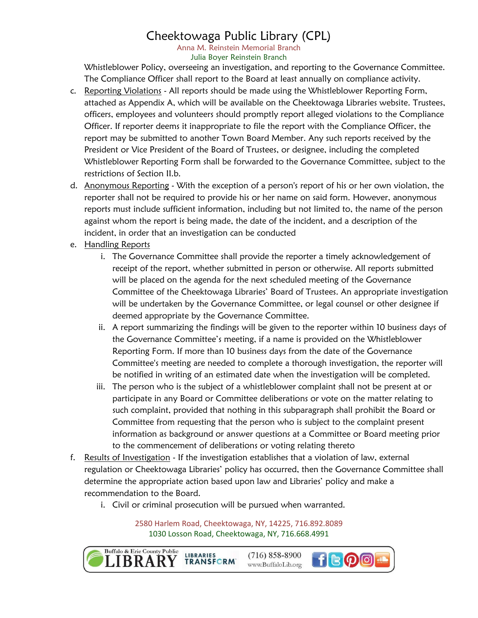Anna M. Reinstein Memorial Branch Julia Boyer Reinstein Branch

Whistleblower Policy, overseeing an investigation, and reporting to the Governance Committee. The Compliance Officer shall report to the Board at least annually on compliance activity.

- c. Reporting Violations All reports should be made using the Whistleblower Reporting Form, attached as Appendix A, which will be available on the Cheektowaga Libraries website. Trustees, officers, employees and volunteers should promptly report alleged violations to the Compliance Officer. If reporter deems it inappropriate to file the report with the Compliance Officer, the report may be submitted to another Town Board Member. Any such reports received by the President or Vice President of the Board of Trustees, or designee, including the completed Whistleblower Reporting Form shall be forwarded to the Governance Committee, subject to the restrictions of Section II.b.
- d. Anonymous Reporting With the exception of a person's report of his or her own violation, the reporter shall not be required to provide his or her name on said form. However, anonymous reports must include sufficient information, including but not limited to, the name of the person against whom the report is being made, the date of the incident, and a description of the incident, in order that an investigation can be conducted
- e. Handling Reports
	- i. The Governance Committee shall provide the reporter a timely acknowledgement of receipt of the report, whether submitted in person or otherwise. All reports submitted will be placed on the agenda for the next scheduled meeting of the Governance Committee of the Cheektowaga Libraries' Board of Trustees. An appropriate investigation will be undertaken by the Governance Committee, or legal counsel or other designee if deemed appropriate by the Governance Committee.
	- ii. A report summarizing the findings will be given to the reporter within 10 business days of the Governance Committee's meeting, if a name is provided on the Whistleblower Reporting Form. If more than 10 business days from the date of the Governance Committee's meeting are needed to complete a thorough investigation, the reporter will be notified in writing of an estimated date when the investigation will be completed.
	- iii. The person who is the subject of a whistleblower complaint shall not be present at or participate in any Board or Committee deliberations or vote on the matter relating to such complaint, provided that nothing in this subparagraph shall prohibit the Board or Committee from requesting that the person who is subject to the complaint present information as background or answer questions at a Committee or Board meeting prior to the commencement of deliberations or voting relating thereto
- f. Results of Investigation If the investigation establishes that a violation of law, external regulation or Cheektowaga Libraries' policy has occurred, then the Governance Committee shall determine the appropriate action based upon law and Libraries' policy and make a recommendation to the Board.
	- i. Civil or criminal prosecution will be pursued when warranted.

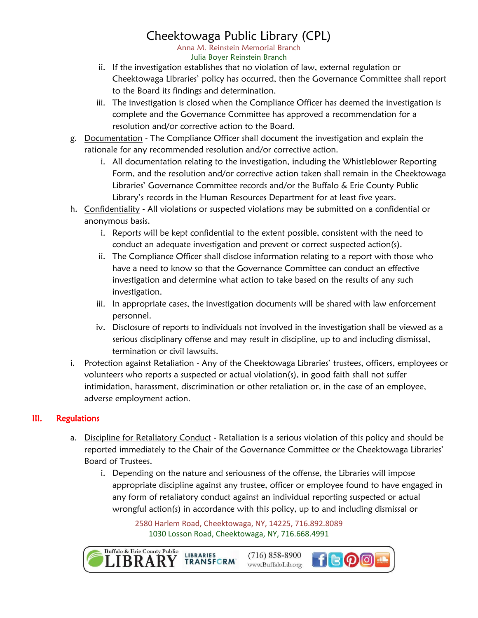Anna M. Reinstein Memorial Branch Julia Boyer Reinstein Branch

- ii. If the investigation establishes that no violation of law, external regulation or Cheektowaga Libraries' policy has occurred, then the Governance Committee shall report to the Board its findings and determination.
- iii. The investigation is closed when the Compliance Officer has deemed the investigation is complete and the Governance Committee has approved a recommendation for a resolution and/or corrective action to the Board.
- g. Documentation The Compliance Officer shall document the investigation and explain the rationale for any recommended resolution and/or corrective action.
	- i. All documentation relating to the investigation, including the Whistleblower Reporting Form, and the resolution and/or corrective action taken shall remain in the Cheektowaga Libraries' Governance Committee records and/or the Buffalo & Erie County Public Library's records in the Human Resources Department for at least five years.
- h. Confidentiality All violations or suspected violations may be submitted on a confidential or anonymous basis.
	- i. Reports will be kept confidential to the extent possible, consistent with the need to conduct an adequate investigation and prevent or correct suspected action(s).
	- ii. The Compliance Officer shall disclose information relating to a report with those who have a need to know so that the Governance Committee can conduct an effective investigation and determine what action to take based on the results of any such investigation.
	- iii. In appropriate cases, the investigation documents will be shared with law enforcement personnel.
	- iv. Disclosure of reports to individuals not involved in the investigation shall be viewed as a serious disciplinary offense and may result in discipline, up to and including dismissal, termination or civil lawsuits.
- i. Protection against Retaliation Any of the Cheektowaga Libraries' trustees, officers, employees or volunteers who reports a suspected or actual violation(s), in good faith shall not suffer intimidation, harassment, discrimination or other retaliation or, in the case of an employee, adverse employment action.

### III. Regulations

- a. Discipline for Retaliatory Conduct Retaliation is a serious violation of this policy and should be reported immediately to the Chair of the Governance Committee or the Cheektowaga Libraries' Board of Trustees.
	- i. Depending on the nature and seriousness of the offense, the Libraries will impose appropriate discipline against any trustee, officer or employee found to have engaged in any form of retaliatory conduct against an individual reporting suspected or actual wrongful action(s) in accordance with this policy, up to and including dismissal or

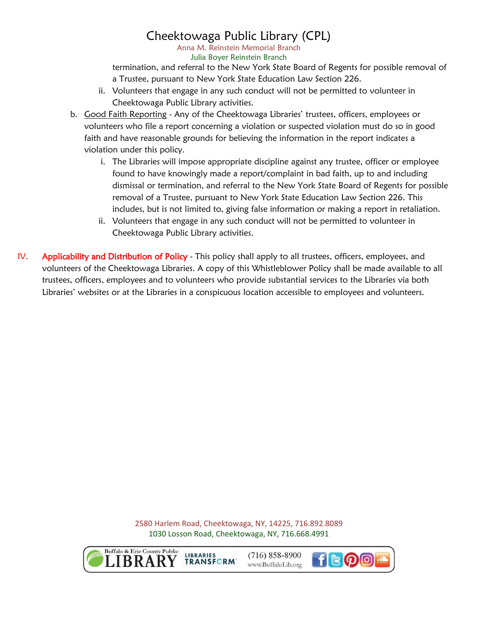Anna M. Reinstein Memorial Branch Julia Boyer Reinstein Branch

termination, and referral to the New York State Board of Regents for possible removal of a Trustee, pursuant to New York State Education Law Section 226.

- ii. Volunteers that engage in any such conduct will not be permitted to volunteer in Cheektowaga Public Library activities.
- b. Good Faith Reporting Any of the Cheektowaga Libraries' trustees, officers, employees or volunteers who file a report concerning a violation or suspected violation must do so in good faith and have reasonable grounds for believing the information in the report indicates a violation under this policy.
	- i. The Libraries will impose appropriate discipline against any trustee, officer or employee found to have knowingly made a report/complaint in bad faith, up to and including dismissal or termination, and referral to the New York State Board of Regents for possible removal of a Trustee, pursuant to New York State Education Law Section 226. This includes, but is not limited to, giving false information or making a report in retaliation.
	- ii. Volunteers that engage in any such conduct will not be permitted to volunteer in Cheektowaga Public Library activities.
- IV. Applicability and Distribution of Policy This policy shall apply to all trustees, officers, employees, and volunteers of the Cheektowaga Libraries. A copy of this Whistleblower Policy shall be made available to all trustees, officers, employees and to volunteers who provide substantial services to the Libraries via both Libraries' websites or at the Libraries in a conspicuous location accessible to employees and volunteers.

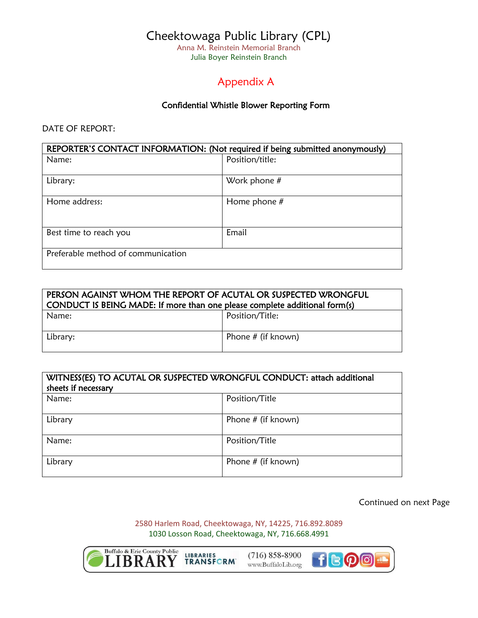Anna M. Reinstein Memorial Branch Julia Boyer Reinstein Branch

## Appendix A

#### Confidential Whistle Blower Reporting Form

DATE OF REPORT:

| REPORTER'S CONTACT INFORMATION: (Not required if being submitted anonymously) |                 |  |
|-------------------------------------------------------------------------------|-----------------|--|
| Name:                                                                         | Position/title: |  |
|                                                                               |                 |  |
| Library:                                                                      | Work phone $#$  |  |
|                                                                               |                 |  |
| Home address:                                                                 | Home phone $#$  |  |
|                                                                               |                 |  |
|                                                                               |                 |  |
| Best time to reach you                                                        | Email           |  |
|                                                                               |                 |  |
| Preferable method of communication                                            |                 |  |
|                                                                               |                 |  |

| PERSON AGAINST WHOM THE REPORT OF ACUTAL OR SUSPECTED WRONGFUL<br>  CONDUCT IS BEING MADE: If more than one please complete additional form(s) |                      |  |
|------------------------------------------------------------------------------------------------------------------------------------------------|----------------------|--|
| Name:                                                                                                                                          | Position/Title:      |  |
| Library:                                                                                                                                       | Phone $#$ (if known) |  |

| WITNESS(ES) TO ACUTAL OR SUSPECTED WRONGFUL CONDUCT: attach additional<br>sheets if necessary |                      |
|-----------------------------------------------------------------------------------------------|----------------------|
| Name:                                                                                         | Position/Title       |
| Library                                                                                       | Phone $#$ (if known) |
| Name:                                                                                         | Position/Title       |
| Library                                                                                       | Phone $#$ (if known) |

Continued on next Page